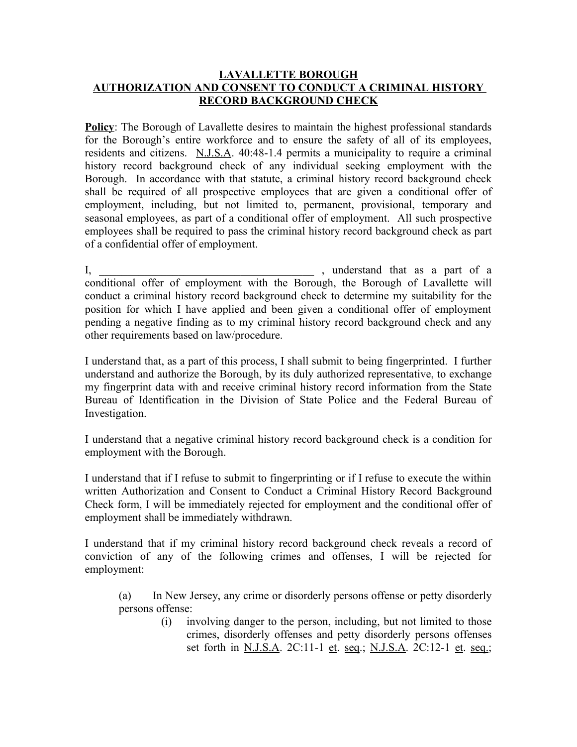## **LAVALLETTE BOROUGH AUTHORIZATION AND CONSENT TO CONDUCT A CRIMINAL HISTORY RECORD BACKGROUND CHECK**

**Policy**: The Borough of Lavallette desires to maintain the highest professional standards for the Borough's entire workforce and to ensure the safety of all of its employees, residents and citizens. N.J.S.A. 40:48-1.4 permits a municipality to require a criminal history record background check of any individual seeking employment with the Borough. In accordance with that statute, a criminal history record background check shall be required of all prospective employees that are given a conditional offer of employment, including, but not limited to, permanent, provisional, temporary and seasonal employees, as part of a conditional offer of employment. All such prospective employees shall be required to pass the criminal history record background check as part of a confidential offer of employment.

I, \_\_\_\_\_\_\_\_\_\_\_\_\_\_\_\_\_\_\_\_\_\_\_\_\_\_\_\_\_\_\_\_\_\_\_\_\_\_ , understand that as a part of a conditional offer of employment with the Borough, the Borough of Lavallette will conduct a criminal history record background check to determine my suitability for the position for which I have applied and been given a conditional offer of employment pending a negative finding as to my criminal history record background check and any other requirements based on law/procedure.

I understand that, as a part of this process, I shall submit to being fingerprinted. I further understand and authorize the Borough, by its duly authorized representative, to exchange my fingerprint data with and receive criminal history record information from the State Bureau of Identification in the Division of State Police and the Federal Bureau of Investigation.

I understand that a negative criminal history record background check is a condition for employment with the Borough.

I understand that if I refuse to submit to fingerprinting or if I refuse to execute the within written Authorization and Consent to Conduct a Criminal History Record Background Check form, I will be immediately rejected for employment and the conditional offer of employment shall be immediately withdrawn.

I understand that if my criminal history record background check reveals a record of conviction of any of the following crimes and offenses, I will be rejected for employment:

(a) In New Jersey, any crime or disorderly persons offense or petty disorderly persons offense:

> (i) involving danger to the person, including, but not limited to those crimes, disorderly offenses and petty disorderly persons offenses set forth in <u>N.J.S.A</u>. 2C:11-1 et. seq.; N.J.S.A. 2C:12-1 et. seq.;